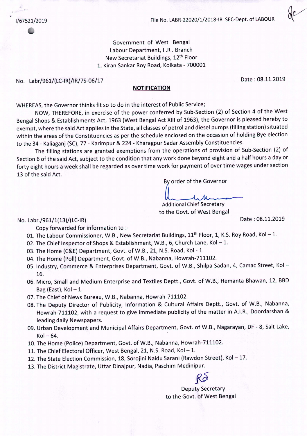$\mathbf{r}$ 

1/67521/2019 File No. LABR-22020/1/2018-IR SEC-Dept.of LABOUR

Government of West Bengal Labour Department, I .R . Branch New Secretariat Buildings, 12th Floor 1, Kiran Sankar Roy Road, Kolkata - 700001

No. Labr/961/(LC-IR}/IR/7S-06/17 Date: 08.11.2019

## **NOTIFICATION**

WHEREAS, the Governor thinks fit so to do in the interest of Public Service;

NOW, THEREFORE,in exercise of the power conferred by Sub-Section (2) of Section 4 of the West Bengal Shops & Establishments Act, 1963 (West Bengal Act XIII of 1963), the Governor is pleased hereby to exempt, where the said Act applies in the State, all classes of petrol and diesel pumps (filling station) situated within the areas of the Constituencies as per the schedule enclosed on the occasion of holding Bye election to the 34 - Kaliaganj (SC),77 - Karimpur & 224 - Kharagpur Sadar Assembly Constituencies.

The filling stations are granted exemptions from the operations of provision of Sub-Section (2) of Section 6 of the said Act, subject to the condition that any work done beyond eight and a half hours a day or forty eight hours a week shall be regarded as over time work for payment of over time wages under section 13 of the said Act.

By order of the Governor

Additional Chief Secretary to the Govt. of West Bengal

## No. Labr./961/1(13}/(LC-IR} Date: 08.11.2019

Copy forwarded for information to :-

- 01. The Labour Commissioner, W.B., New Secretariat Buildings, 11<sup>th</sup> Floor, 1, K.S. Roy Road, Kol-1.
- 02. The Chief Inspector of Shops & Establishment, W.B., 6, Church Lane, Kol 1.
- 03. The Home (C&E) Department, Govt. of W.B., 21, N.5. Road, Kol 1.
- 04. The Home (Poll) Department, Govt. of W.B., Nabanna, Howrah-711102.
- 05. Industry, Commerce & Enterprises Department, Govt. of W.B., Shilpa Sadan, 4, Camac Street, Kol -16.
- 06. Micro, Small and Medium Enterprise and Textiles Deptt., Govt. of W.B., Hemanta Bhawan, 12, BBD Bag (East),  $Kol - 1$ .
- 07. The Chief of News Bureau, W.B., Nabanna, Howrah-711102.
- 08. The Deputy Director of Publicity, Information & Cultural Affairs Deptt., Govt. of W.B., Nabanna, Howrah-711102, with a request to give immediate publicity of the matter in A.I.R., Doordarshan & leading daily Newspapers.
- 09. Urban Development and Municipal Affairs Department, Govt. of W.B., Nagarayan, DF 8, Salt Lake,  $Kol - 64.$
- 10. The Home (Police) Department, Govt. of W.B., Nabanna, Howrah-711102.
- 11. The Chief Electoral Officer, West Bengal, 21, N.S. Road, Kol-1.
- 12. The State Election Commission, 18, Sorojini Naidu Sarani (Rawdon Street), Kol-17.
- 13. The District Magistrate, Uttar Dinajpur, Nadia, Paschim Medinipur.

Deputy Secretary to the Govt. of West Bengal

KO